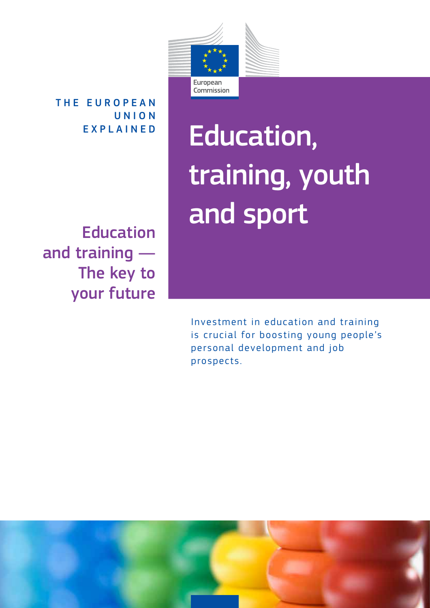

THE EUROPEAN U N I O N EXPLAINED

Education and training — The key to your future

# Education, training, youth and sport

Investment in education and training is crucial for boosting young people's personal development and job prospects.

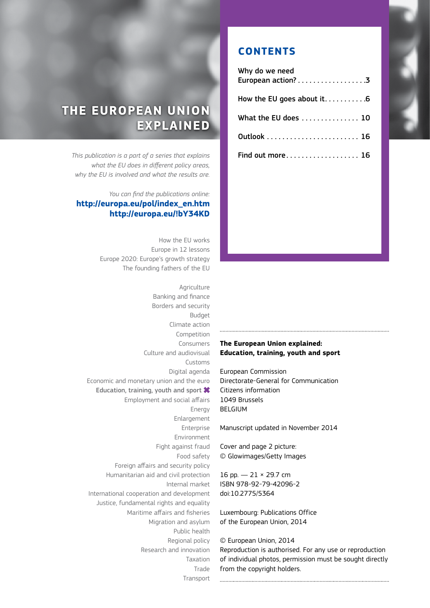# **THE EUROPEAN UNION EXPLAINED**

*This publication is a part of a series that explains what the EU does in different policy areas, why the EU is involved and what the results are.* 

#### *You can find the publications online:* **http://europa.eu/pol/index\_en.htm http://europa.eu/!bY34KD**

How the EU works Europe in 12 lessons Europe 2020: Europe's growth strategy The founding fathers of the EU

Agriculture Banking and finance Borders and security Budget Climate action Competition Consumers Culture and audiovisual Customs Digital agenda Economic and monetary union and the euro Education, training, youth and sport  $\boldsymbol{*}$ Employment and social affairs Energy Enlargement Enterprise Environment Fight against fraud Food safety Foreign affairs and security policy Humanitarian aid and civil protection Internal market International cooperation and development Justice, fundamental rights and equality Maritime affairs and fisheries Migration and asylum Public health Regional policy Research and innovation Taxation Trade Transport

#### **CONTENTS**

| Why do we need<br>European action? 3 |
|--------------------------------------|
|                                      |
| What the EU does 10                  |
|                                      |
| Find out more 16                     |
|                                      |

#### **The European Union explained: Education, training, youth and sport**

European Commission Directorate-General for Communication Citizens information 1049 Brussels BELGIUM

Manuscript updated in November 2014

Cover and page 2 picture: © Glowimages/Getty Images

16 pp. — 21 × 29.7 cm ISBN 978-92-79-42096-2 doi:10.2775/5364

Luxembourg: Publications Office of the European Union, 2014

#### © European Union, 2014

Reproduction is authorised. For any use or reproduction of individual photos, permission must be sought directly from the copyright holders.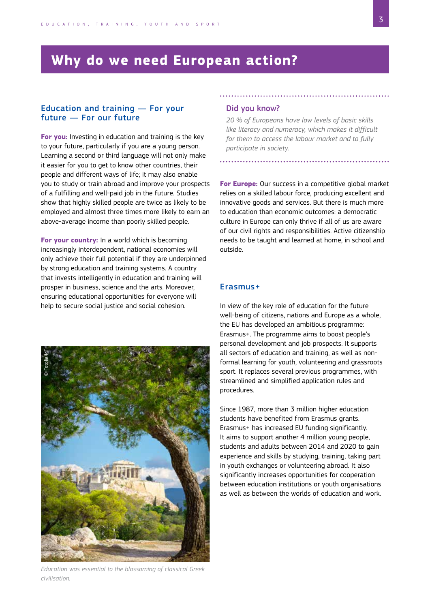# <span id="page-2-0"></span>**Why do we need European action?**

#### Education and training — For your future — For our future

**For you:** Investing in education and training is the key to your future, particularly if you are a young person. Learning a second or third language will not only make it easier for you to get to know other countries, their people and different ways of life; it may also enable you to study or train abroad and improve your prospects of a fulfilling and well-paid job in the future. Studies show that highly skilled people are twice as likely to be employed and almost three times more likely to earn an above-average income than poorly skilled people.

**For your country:** In a world which is becoming increasingly interdependent, national economies will only achieve their full potential if they are underpinned by strong education and training systems. A country that invests intelligently in education and training will prosper in business, science and the arts. Moreover, ensuring educational opportunities for everyone will help to secure social justice and social cohesion.

# © Fotolia/MF

*Education was essential to the blossoming of classical Greek civilisation.*

#### Did you know?

*20 % of Europeans have low levels of basic skills like literacy and numeracy, which makes it difficult for them to access the labour market and to fully participate in society.*

**For Europe:** Our success in a competitive global market relies on a skilled labour force, producing excellent and innovative goods and services. But there is much more to education than economic outcomes: a democratic culture in Europe can only thrive if all of us are aware of our civil rights and responsibilities. Active citizenship needs to be taught and learned at home, in school and outside.

#### Erasmus+

In view of the key role of education for the future well-being of citizens, nations and Europe as a whole, the EU has developed an ambitious programme: Erasmus+. The programme aims to boost people's personal development and job prospects. It supports all sectors of education and training, as well as nonformal learning for youth, volunteering and grassroots sport. It replaces several previous programmes, with streamlined and simplified application rules and procedures.

Since 1987, more than 3 million higher education students have benefited from Erasmus grants. Erasmus+ has increased EU funding significantly. It aims to support another 4 million young people, students and adults between 2014 and 2020 to gain experience and skills by studying, training, taking part in youth exchanges or volunteering abroad. It also significantly increases opportunities for cooperation between education institutions or youth organisations as well as between the worlds of education and work.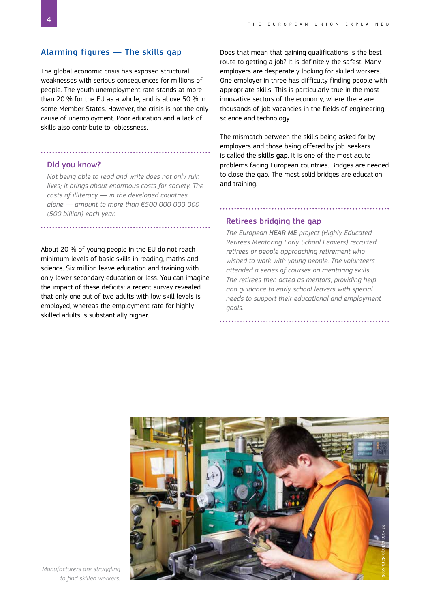#### Alarming figures — The skills gap

The global economic crisis has exposed structural weaknesses with serious consequences for millions of people. The youth unemployment rate stands at more than 20 % for the EU as a whole, and is above 50 % in some Member States. However, the crisis is not the only cause of unemployment. Poor education and a lack of skills also contribute to joblessness.

#### Did you know?

*Not being able to read and write does not only ruin lives; it brings about enormous costs for society. The costs of illiteracy — in the developed countries alone — amount to more than €500 000 000 000 (500 billion) each year.*

About 20 % of young people in the EU do not reach minimum levels of basic skills in reading, maths and science. Six million leave education and training with only lower secondary education or less. You can imagine the impact of these deficits: a recent survey revealed that only one out of two adults with low skill levels is employed, whereas the employment rate for highly skilled adults is substantially higher.

Does that mean that gaining qualifications is the best route to getting a job? It is definitely the safest. Many employers are desperately looking for skilled workers. One employer in three has difficulty finding people with appropriate skills. This is particularly true in the most innovative sectors of the economy, where there are thousands of job vacancies in the fields of engineering, science and technology.

The mismatch between the skills being asked for by employers and those being offered by job-seekers is called the skills gap. It is one of the most acute problems facing European countries. Bridges are needed to close the gap. The most solid bridges are education and training.

#### Retirees bridging the gap

*The European HEAR ME project (Highly Educated Retirees Mentoring Early School Leavers) recruited retirees or people approaching retirement who wished to work with young people. The volunteers attended a series of courses on mentoring skills. The retirees then acted as mentors, providing help and guidance to early school leavers with special needs to support their educational and employment goals.*



*Manufacturers are struggling to find skilled workers.*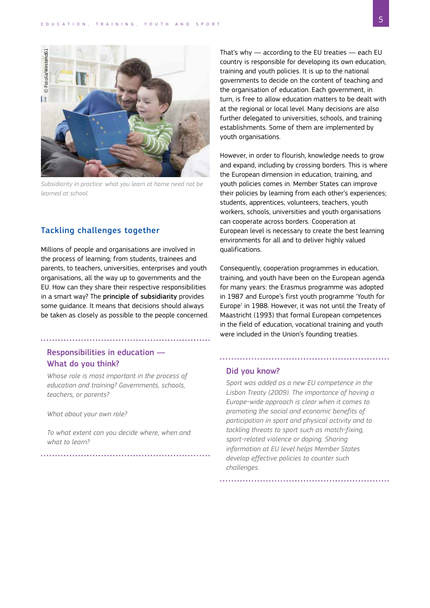

*Subsidiarity in practice: what you learn at home need not be learned at school.* 

#### Tackling challenges together

Millions of people and organisations are involved in the process of learning; from students, trainees and parents, to teachers, universities, enterprises and youth organisations, all the way up to governments and the EU. How can they share their respective responsibilities in a smart way? The principle of subsidiarity provides some guidance. It means that decisions should always be taken as closely as possible to the people concerned.

#### Responsibilities in education — What do you think?

*Whose role is most important in the process of education and training? Governments, schools, teachers, or parents?* 

*What about your own role?* 

*To what extent can you decide where, when and what to learn?*

That's why — according to the EU treaties — each EU country is responsible for developing its own education, training and youth policies. It is up to the national governments to decide on the content of teaching and the organisation of education. Each government, in turn, is free to allow education matters to be dealt with at the regional or local level. Many decisions are also further delegated to universities, schools, and training establishments. Some of them are implemented by youth organisations.

However, in order to flourish, knowledge needs to grow and expand, including by crossing borders. This is where the European dimension in education, training, and youth policies comes in. Member States can improve their policies by learning from each other's experiences; students, apprentices, volunteers, teachers, youth workers, schools, universities and youth organisations can cooperate across borders. Cooperation at European level is necessary to create the best learning environments for all and to deliver highly valued qualifications.

Consequently, cooperation programmes in education, training, and youth have been on the European agenda for many years: the Erasmus programme was adopted in 1987 and Europe's first youth programme 'Youth for Europe' in 1988. However, it was not until the Treaty of Maastricht (1993) that formal European competences in the field of education, vocational training and youth were included in the Union's founding treaties.

#### Did you know?

*Sport was added as a new EU competence in the Lisbon Treaty (2009). The importance of having a Europe-wide approach is clear when it comes to promoting the social and economic benefits of participation in sport and physical activity and to tackling threats to sport such as match-fixing, sport-related violence or doping. Sharing information at EU level helps Member States develop effective policies to counter such challenges.*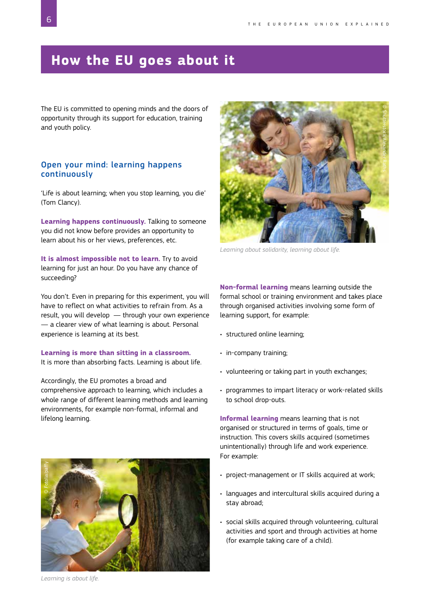# <span id="page-5-0"></span>**How the EU goes about it**

The EU is committed to opening minds and the doors of opportunity through its support for education, training and youth policy.

#### Open your mind: learning happens continuously

'Life is about learning; when you stop learning, you die' (Tom Clancy).

**Learning happens continuously.** Talking to someone you did not know before provides an opportunity to learn about his or her views, preferences, etc.

**It is almost impossible not to learn.** Try to avoid learning for just an hour. Do you have any chance of succeeding?

You don't. Even in preparing for this experiment, you will have to reflect on what activities to refrain from. As a result, you will develop — through your own experience — a clearer view of what learning is about. Personal experience is learning at its best.

**Learning is more than sitting in a classroom.** It is more than absorbing facts. Learning is about life.

Accordingly, the EU promotes a broad and comprehensive approach to learning, which includes a whole range of different learning methods and learning environments, for example non-formal, informal and lifelong learning.



© Shutterstock/Alexander Raths

*Learning about solidarity, learning about life.*

**Non-formal learning** means learning outside the formal school or training environment and takes place through organised activities involving some form of learning support, for example:

- structured online learning;
- in-company training;
- volunteering or taking part in youth exchanges;
- programmes to impart literacy or work-related skills to school drop-outs.

**Informal learning** means learning that is not organised or structured in terms of goals, time or instruction. This covers skills acquired (sometimes unintentionally) through life and work experience. For example:

- project-management or IT skills acquired at work;
- languages and intercultural skills acquired during a stay abroad;
- social skills acquired through volunteering, cultural activities and sport and through activities at home (for example taking care of a child).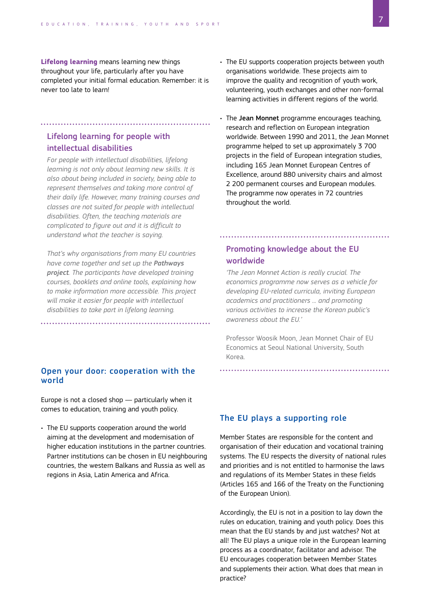**Lifelong learning** means learning new things throughout your life, particularly after you have completed your initial formal education. Remember: it is never too late to learn!

. . . . . . . . . . . . . . . .

#### Lifelong learning for people with intellectual disabilities

*For people with intellectual disabilities, lifelong learning is not only about learning new skills. It is also about being included in society, being able to represent themselves and taking more control of their daily life. However, many training courses and classes are not suited for people with intellectual disabilities. Often, the teaching materials are complicated to figure out and it is difficult to understand what the teacher is saying.* 

*That's why organisations from many EU countries have come together and set up the Pathways project. The participants have developed training courses, booklets and online tools, explaining how to make information more accessible. This project will make it easier for people with intellectual disabilities to take part in lifelong learning.*

#### Open your door: cooperation with the world

Europe is not a closed shop — particularly when it comes to education, training and youth policy.

• The EU supports cooperation around the world aiming at the development and modernisation of higher education institutions in the partner countries. Partner institutions can be chosen in EU neighbouring countries, the western Balkans and Russia as well as regions in Asia, Latin America and Africa.

#### • The EU supports cooperation projects between youth organisations worldwide. These projects aim to improve the quality and recognition of youth work, volunteering, youth exchanges and other non-formal learning activities in different regions of the world.

• The Jean Monnet programme encourages teaching, research and reflection on European integration worldwide. Between 1990 and 2011, the Jean Monnet programme helped to set up approximately 3 700 projects in the field of European integration studies, including 165 Jean Monnet European Centres of Excellence, around 880 university chairs and almost 2 200 permanent courses and European modules. The programme now operates in 72 countries throughout the world.

#### Promoting knowledge about the EU worldwide

*'The Jean Monnet Action is really crucial. The economics programme now serves as a vehicle for developing EU-related curricula, inviting European academics and practitioners ... and promoting various activities to increase the Korean public's awareness about the EU.'*

Professor Woosik Moon, Jean Monnet Chair of EU Economics at Seoul National University, South Korea.

#### The EU plays a supporting role

Member States are responsible for the content and organisation of their education and vocational training systems. The EU respects the diversity of national rules and priorities and is not entitled to harmonise the laws and regulations of its Member States in these fields (Articles 165 and 166 of the Treaty on the Functioning of the European Union).

Accordingly, the EU is not in a position to lay down the rules on education, training and youth policy. Does this mean that the EU stands by and just watches? Not at all! The EU plays a unique role in the European learning process as a coordinator, facilitator and advisor. The EU encourages cooperation between Member States and supplements their action. What does that mean in practice?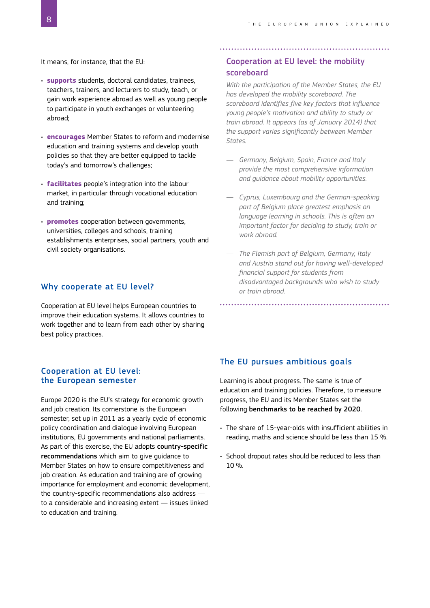It means, for instance, that the EU:

- **supports** students, doctoral candidates, trainees, teachers, trainers, and lecturers to study, teach, or gain work experience abroad as well as young people to participate in youth exchanges or volunteering abroad;
- **encourages** Member States to reform and modernise education and training systems and develop youth policies so that they are better equipped to tackle today's and tomorrow's challenges;
- **facilitates** people's integration into the labour market, in particular through vocational education and training;
- **promotes** cooperation between governments, universities, colleges and schools, training establishments enterprises, social partners, youth and civil society organisations.

#### Why cooperate at EU level?

Cooperation at EU level helps European countries to improve their education systems. It allows countries to work together and to learn from each other by sharing best policy practices.

#### Cooperation at EU level: the European semester

Europe 2020 is the EU's strategy for economic growth and job creation. Its cornerstone is the European semester, set up in 2011 as a yearly cycle of economic policy coordination and dialogue involving European institutions, EU governments and national parliaments. As part of this exercise, the EU adopts country-specific recommendations which aim to give guidance to Member States on how to ensure competitiveness and job creation. As education and training are of growing importance for employment and economic development, the country-specific recommendations also address to a considerable and increasing extent — issues linked to education and training.

#### Cooperation at EU level: the mobility scoreboard

*With the participation of the Member States, the EU has developed the mobility scoreboard. The scoreboard identifies five key factors that influence young people's motivation and ability to study or train abroad. It appears (as of January 2014) that the support varies significantly between Member States.*

- *— Germany, Belgium, Spain, France and Italy provide the most comprehensive information and guidance about mobility opportunities.*
- *— Cyprus, Luxembourg and the German-speaking part of Belgium place greatest emphasis on language learning in schools. This is often an important factor for deciding to study, train or work abroad.*
- *— The Flemish part of Belgium, Germany, Italy and Austria stand out for having well-developed financial support for students from disadvantaged backgrounds who wish to study or train abroad.*

#### The EU pursues ambitious goals

Learning is about progress. The same is true of education and training policies. Therefore, to measure progress, the EU and its Member States set the following benchmarks to be reached by 2020.

- The share of 15-year-olds with insufficient abilities in reading, maths and science should be less than 15 %.
- School dropout rates should be reduced to less than 10 %.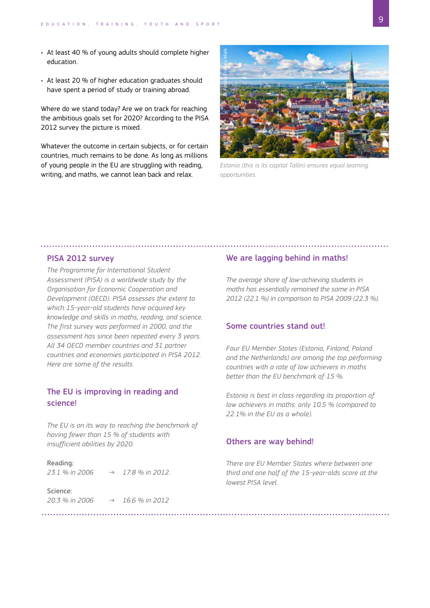- At least 40 % of young adults should complete higher education.
- At least 20 % of higher education graduates should have spent a period of study or training abroad.

Where do we stand today? Are we on track for reaching the ambitious goals set for 2020? According to the PISA 2012 survey the picture is mixed.

Whatever the outcome in certain subjects, or for certain countries, much remains to be done. As long as millions of young people in the EU are struggling with reading, writing, and maths, we cannot lean back and relax.



*Estonia (this is its capital Tallin) ensures equal learning* 

#### PISA 2012 survey

*The Programme for International Student Assessment (PISA) is a worldwide study by the Organisation for Economic Cooperation and Development (OECD). PISA assesses the extent to which 15-year-old students have acquired key knowledge and skills in maths, reading, and science. The first survey was performed in 2000, and the assessment has since been repeated every 3 years. All 34 OECD member countries and 31 partner countries and economies participated in PISA 2012. Here are some of the results.*

#### The EU is improving in reading and science!

*The EU is on its way to reaching the benchmark of having fewer than 15 % of students with insufficient abilities by 2020.*

#### Reading:

*23.1 % in 2006 → 17.8 % in 2012.*

Science: *20.3 % in 2006 → 16.6 % in 2012*

#### We are lagging behind in maths!

*The average share of low-achieving students in maths has essentially remained the same in PISA 2012 (22.1 %) in comparison to PISA 2009 (22.3 %).* 

#### Some countries stand out!

*Four EU Member States (Estonia, Finland, Poland and the Netherlands) are among the top performing countries with a rate of low achievers in maths better than the EU benchmark of 15 %.*

*Estonia is best in class regarding its proportion of low achievers in maths: only 10.5 % (compared to 22.1% in the EU as a whole).* 

#### Others are way behind!

*There are EU Member States where between one third and one half of the 15-year-olds score at the lowest PISA level.*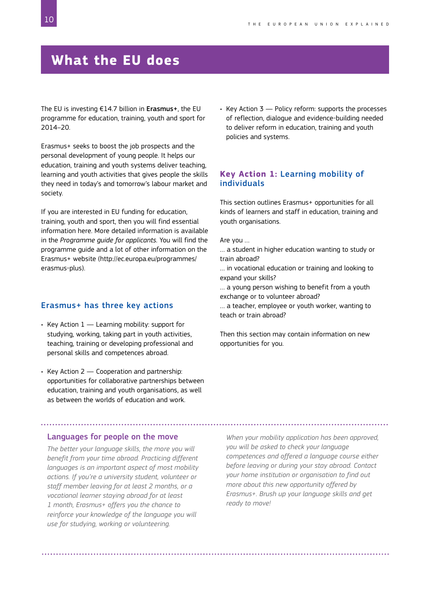# <span id="page-9-0"></span>**What the EU does**

The EU is investing  $E14.7$  billion in Erasmus+, the EU programme for education, training, youth and sport for 2014–20.

Erasmus+ seeks to boost the job prospects and the personal development of young people. It helps our education, training and youth systems deliver teaching, learning and youth activities that gives people the skills they need in today's and tomorrow's labour market and society.

If you are interested in EU funding for education, training, youth and sport, then you will find essential information here. More detailed information is available in the *Programme guide for applicants.* You will find the programme guide and a lot of other information on the Erasmus+ website ([http://ec.europa.eu/programmes/](http://ec.europa.eu/programmes/erasmus-plus) [erasmus-plus](http://ec.europa.eu/programmes/erasmus-plus)).

#### Erasmus+ has three key actions

- Key Action  $1$  Learning mobility: support for studying, working, taking part in youth activities, teaching, training or developing professional and personal skills and competences abroad.
- Key Action 2 Cooperation and partnership: opportunities for collaborative partnerships between education, training and youth organisations, as well as between the worlds of education and work.

• Key Action  $3$  — Policy reform: supports the processes of reflection, dialogue and evidence-building needed to deliver reform in education, training and youth policies and systems.

#### **Key Action 1:** Learning mobility of individuals

This section outlines Erasmus+ opportunities for all kinds of learners and staff in education, training and youth organisations.

Are you …

… a student in higher education wanting to study or train abroad?

… in vocational education or training and looking to expand your skills?

… a young person wishing to benefit from a youth exchange or to volunteer abroad?

… a teacher, employee or youth worker, wanting to teach or train abroad?

Then this section may contain information on new opportunities for you.

#### Languages for people on the move

*The better your language skills, the more you will benefit from your time abroad. Practicing different languages is an important aspect of most mobility actions. If you're a university student, volunteer or staff member leaving for at least 2 months, or a vocational learner staying abroad for at least 1 month, Erasmus+ offers you the chance to reinforce your knowledge of the language you will use for studying, working or volunteering.*

*When your mobility application has been approved, you will be asked to check your language competences and offered a language course either before leaving or during your stay abroad. Contact your home institution or organisation to find out more about this new opportunity offered by Erasmus+. Brush up your language skills and get ready to move!*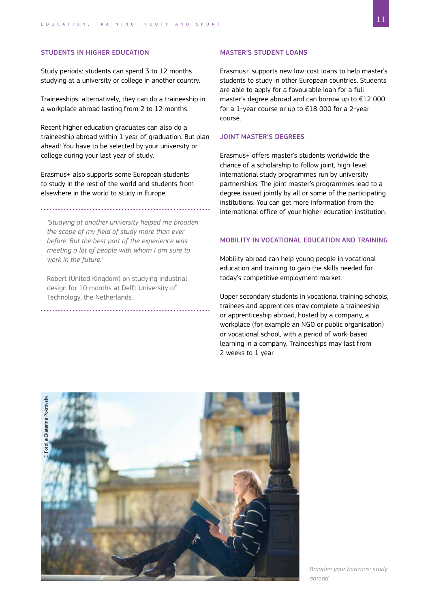#### STUDENTS IN HIGHER EDUCATION

Study periods: students can spend 3 to 12 months studying at a university or college in another country.

Traineeships: alternatively, they can do a traineeship in a workplace abroad lasting from 2 to 12 months.

Recent higher education graduates can also do a traineeship abroad within 1 year of graduation. But plan ahead! You have to be selected by your university or college during your last year of study.

Erasmus+ also supports some European students to study in the rest of the world and students from elsewhere in the world to study in Europe.

*'Studying at another university helped me broaden the scope of my field of study more than ever before. But the best part of the experience was meeting a lot of people with whom I am sure to work in the future.'*

Robert (United Kingdom) on studying industrial design for 10 months at Delft University of Technology, the Netherlands.

#### MASTER'S STUDENT LOANS

Erasmus+ supports new low-cost loans to help master's students to study in other European countries. Students are able to apply for a favourable loan for a full master's degree abroad and can borrow up to €12 000 for a 1-year course or up to €18 000 for a 2-year course.

#### JOINT MASTER'S DEGREES

Erasmus+ offers master's students worldwide the chance of a scholarship to follow joint, high-level international study programmes run by university partnerships. The joint master's programmes lead to a degree issued jointly by all or some of the participating institutions. You can get more information from the international office of your higher education institution.

#### MOBILITY IN VOCATIONAL EDUCATION AND TRAINING

Mobility abroad can help young people in vocational education and training to gain the skills needed for today's competitive employment market.

Upper secondary students in vocational training schools, trainees and apprentices may complete a traineeship or apprenticeship abroad, hosted by a company, a workplace (for example an NGO or public organisation) or vocational school, with a period of work-based learning in a company. Traineeships may last from 2 weeks to 1 year.

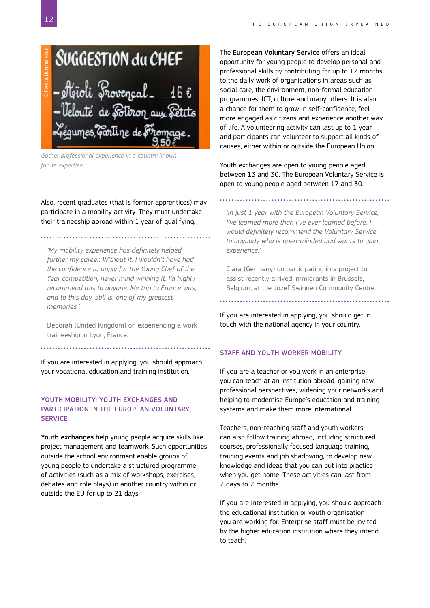

*Gather professional experience in a country known* 

Also, recent graduates (that is former apprentices) may participate in a mobility activity. They must undertake their traineeship abroad within 1 year of qualifying.

*'My mobility experience has definitely helped further my career. Without it, I wouldn't have had the confidence to apply for the Young Chef of the Year competition, never mind winning it. I'd highly recommend this to anyone. My trip to France was, and to this day, still is, one of my greatest memories.'*

Deborah (United Kingdom) on experiencing a work traineeship in Lyon, France.

If you are interested in applying, you should approach your vocational education and training institution.

#### YOUTH MOBILITY: YOUTH EXCHANGES AND PARTICIPATION IN THE EUROPEAN VOLUNTARY **SERVICE**

Youth exchanges help young people acquire skills like project management and teamwork. Such opportunities outside the school environment enable groups of young people to undertake a structured programme of activities (such as a mix of workshops, exercises, debates and role plays) in another country within or outside the EU for up to 21 days.

The European Voluntary Service offers an ideal opportunity for young people to develop personal and professional skills by contributing for up to 12 months to the daily work of organisations in areas such as social care, the environment, non-formal education programmes, ICT, culture and many others. It is also a chance for them to grow in self-confidence, feel more engaged as citizens and experience another way of life. A volunteering activity can last up to 1 year and participants can volunteer to support all kinds of causes, either within or outside the European Union.

Youth exchanges are open to young people aged between 13 and 30. The European Voluntary Service is open to young people aged between 17 and 30.

*'In just 1 year with the European Voluntary Service, I've learned more than I've ever learned before. I would definitely recommend the Voluntary Service to anybody who is open-minded and wants to gain experience.'*

Clara (Germany) on participating in a project to assist recently arrived immigrants in Brussels, Belgium, at the Jozef Swinnen Community Centre.

If you are interested in applying, you should get in touch with the national agency in your country.

#### STAFF AND YOUTH WORKER MOBILITY

If you are a teacher or you work in an enterprise, you can teach at an institution abroad, gaining new professional perspectives, widening your networks and helping to modernise Europe's education and training systems and make them more international.

Teachers, non-teaching staff and youth workers can also follow training abroad, including structured courses, professionally focused language training, training events and job shadowing, to develop new knowledge and ideas that you can put into practice when you get home. These activities can last from 2 days to 2 months.

If you are interested in applying, you should approach the educational institution or youth organisation you are working for. Enterprise staff must be invited by the higher education institution where they intend to teach.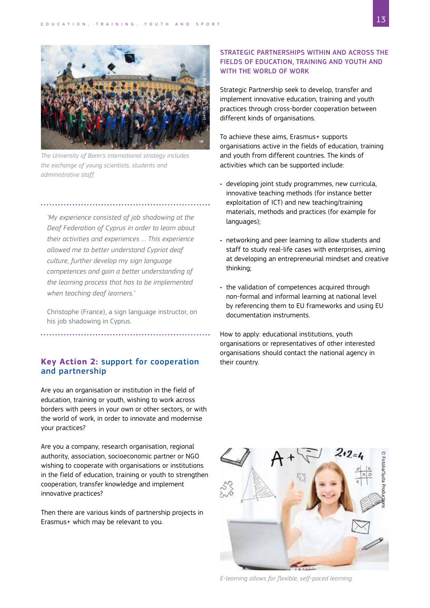

*The University of Bonn's international strategy includes the exchange of young scientists, students and administrative staff.*

*'My experience consisted of job shadowing at the Deaf Federation of Cyprus in order to learn about their activities and experiences … This experience allowed me to better understand Cypriot deaf culture, further develop my sign language competences and gain a better understanding of the learning process that has to be implemented when teaching deaf learners.'*

Christophe (France), a sign language instructor, on his job shadowing in Cyprus.

#### **Key Action 2:** support for cooperation and partnership

Are you an organisation or institution in the field of education, training or youth, wishing to work across borders with peers in your own or other sectors, or with the world of work, in order to innovate and modernise your practices?

Are you a company, research organisation, regional authority, association, socioeconomic partner or NGO wishing to cooperate with organisations or institutions in the field of education, training or youth to strengthen cooperation, transfer knowledge and implement innovative practices?

Then there are various kinds of partnership projects in Erasmus+ which may be relevant to you.

#### STRATEGIC PARTNERSHIPS WITHIN AND ACROSS THE FIELDS OF EDUCATION, TRAINING AND YOUTH AND WITH THE WORLD OF WORK

Strategic Partnership seek to develop, transfer and implement innovative education, training and youth practices through cross-border cooperation between different kinds of organisations.

To achieve these aims, Erasmus+ supports organisations active in the fields of education, training and youth from different countries. The kinds of activities which can be supported include:

- developing joint study programmes, new curricula, innovative teaching methods (for instance better exploitation of ICT) and new teaching/training materials, methods and practices (for example for languages);
- networking and peer learning to allow students and staff to study real-life cases with enterprises, aiming at developing an entrepreneurial mindset and creative thinking;
- the validation of competences acquired through non-formal and informal learning at national level by referencing them to EU frameworks and using EU documentation instruments.

How to apply: educational institutions, youth organisations or representatives of other interested organisations should contact the national agency in their country.



*E-learning allows for flexible, self-paced learning.*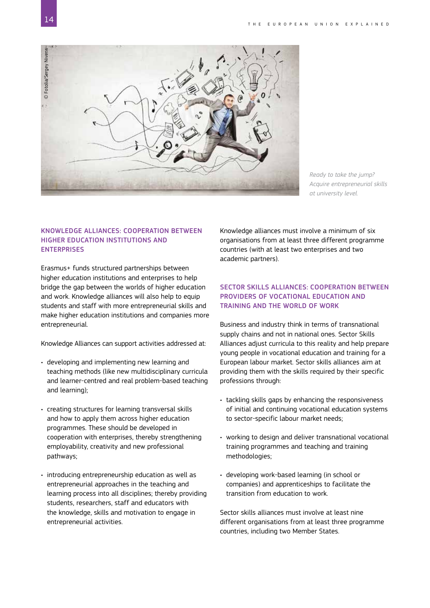

*Ready to take the jump? Acquire entrepreneurial skills at university level.*

#### KNOWLEDGE ALLIANCES: COOPERATION BETWEEN HIGHER EDUCATION INSTITUTIONS AND **ENTERPRISES**

Erasmus+ funds structured partnerships between higher education institutions and enterprises to help bridge the gap between the worlds of higher education and work. Knowledge alliances will also help to equip students and staff with more entrepreneurial skills and make higher education institutions and companies more entrepreneurial.

Knowledge Alliances can support activities addressed at:

- developing and implementing new learning and teaching methods (like new multidisciplinary curricula and learner-centred and real problem-based teaching and learning);
- creating structures for learning transversal skills and how to apply them across higher education programmes. These should be developed in cooperation with enterprises, thereby strengthening employability, creativity and new professional pathways;
- introducing entrepreneurship education as well as entrepreneurial approaches in the teaching and learning process into all disciplines; thereby providing students, researchers, staff and educators with the knowledge, skills and motivation to engage in entrepreneurial activities.

Knowledge alliances must involve a minimum of six organisations from at least three different programme countries (with at least two enterprises and two academic partners).

#### SECTOR SKILLS ALLIANCES: COOPERATION BETWEEN PROVIDERS OF VOCATIONAL EDUCATION AND TRAINING AND THE WORLD OF WORK

Business and industry think in terms of transnational supply chains and not in national ones. Sector Skills Alliances adjust curricula to this reality and help prepare young people in vocational education and training for a European labour market. Sector skills alliances aim at providing them with the skills required by their specific professions through:

- tackling skills gaps by enhancing the responsiveness of initial and continuing vocational education systems to sector-specific labour market needs;
- working to design and deliver transnational vocational training programmes and teaching and training methodologies;
- developing work-based learning (in school or companies) and apprenticeships to facilitate the transition from education to work.

Sector skills alliances must involve at least nine different organisations from at least three programme countries, including two Member States.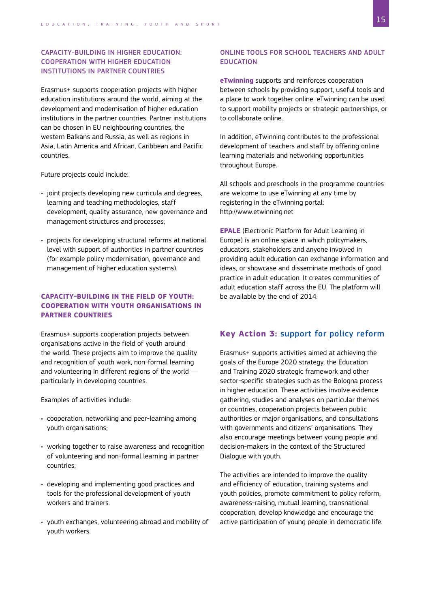#### CAPACITY-BUILDING IN HIGHER EDUCATION: COOPERATION WITH HIGHER EDUCATION INSTITUTIONS IN PARTNER COUNTRIES

Erasmus+ supports cooperation projects with higher education institutions around the world, aiming at the development and modernisation of higher education institutions in the partner countries. Partner institutions can be chosen in EU neighbouring countries, the western Balkans and Russia, as well as regions in Asia, Latin America and African, Caribbean and Pacific countries.

Future projects could include:

- joint projects developing new curricula and degrees, learning and teaching methodologies, staff development, quality assurance, new governance and management structures and processes;
- projects for developing structural reforms at national level with support of authorities in partner countries (for example policy modernisation, governance and management of higher education systems).

#### **CAPACITY-BUILDING IN THE FIELD OF YOUTH: COOPERATION WITH YOUTH ORGANISATIONS IN PARTNER COUNTRIES**

Erasmus+ supports cooperation projects between organisations active in the field of youth around the world. These projects aim to improve the quality and recognition of youth work, non-formal learning and volunteering in different regions of the world particularly in developing countries.

Examples of activities include:

- cooperation, networking and peer-learning among youth organisations;
- working together to raise awareness and recognition of volunteering and non-formal learning in partner countries;
- developing and implementing good practices and tools for the professional development of youth workers and trainers.
- youth exchanges, volunteering abroad and mobility of youth workers.

#### ONLINE TOOLS FOR SCHOOL TEACHERS AND ADULT EDUCATION

**eTwinning** supports and reinforces cooperation between schools by providing support, useful tools and a place to work together online. eTwinning can be used to support mobility projects or strategic partnerships, or to collaborate online.

In addition, eTwinning contributes to the professional development of teachers and staff by offering online learning materials and networking opportunities throughout Europe.

All schools and preschools in the programme countries are welcome to use eTwinning at any time by registering in the eTwinning portal: [http://www.etwinning.net](http://www.etwinning.net/)

**EPALE** (Electronic Platform for Adult Learning in Europe) is an online space in which policymakers, educators, stakeholders and anyone involved in providing adult education can exchange information and ideas, or showcase and disseminate methods of good practice in adult education. It creates communities of adult education staff across the EU. The platform will be available by the end of 2014.

#### **Key Action 3:** support for policy reform

Erasmus+ supports activities aimed at achieving the goals of the Europe 2020 strategy, the Education and Training 2020 strategic framework and other sector-specific strategies such as the Bologna process in higher education. These activities involve evidence gathering, studies and analyses on particular themes or countries, cooperation projects between public authorities or major organisations, and consultations with governments and citizens' organisations. They also encourage meetings between young people and decision-makers in the context of the Structured Dialogue with youth.

The activities are intended to improve the quality and efficiency of education, training systems and youth policies, promote commitment to policy reform, awareness-raising, mutual learning, transnational cooperation, develop knowledge and encourage the active participation of young people in democratic life.